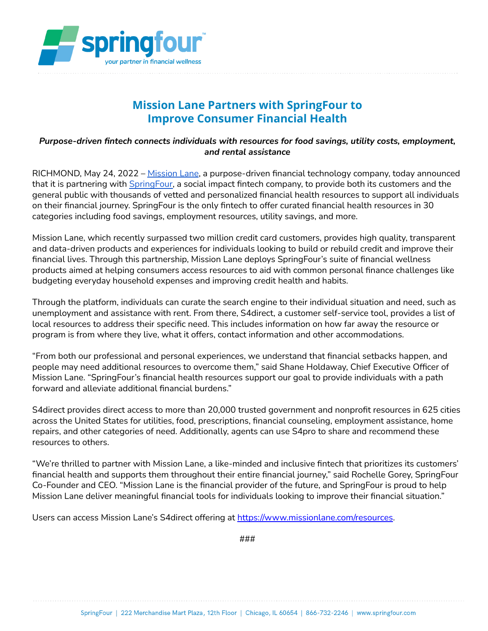

## **Mission Lane Partners with SpringFour to Improve Consumer Financial Health**

## *Purpose-driven fintech connects individuals with resources for food savings, utility costs, employment, and rental assistance*

RICHMOND, May 24, 2022 – [Mission](https://www.missionlane.com/) Lane, a purpose-driven financial technology company, today announced that it is partnering with [SpringFour,](https://springfour.com/) a social impact fintech company, to provide both its customers and the general public with thousands of vetted and personalized financial health resources to support all individuals on their financial journey. SpringFour is the only fintech to offer curated financial health resources in 30 categories including food savings, employment resources, utility savings, and more.

Mission Lane, which recently surpassed two million credit card customers, provides high quality, transparent and data-driven products and experiences for individuals looking to build or rebuild credit and improve their financial lives. Through this partnership, Mission Lane deploys SpringFour's suite of financial wellness products aimed at helping consumers access resources to aid with common personal finance challenges like budgeting everyday household expenses and improving credit health and habits.

Through the platform, individuals can curate the search engine to their individual situation and need, such as unemployment and assistance with rent. From there, S4direct, a customer self-service tool, provides a list of local resources to address their specific need. This includes information on how far away the resource or program is from where they live, what it offers, contact information and other accommodations.

"From both our professional and personal experiences, we understand that financial setbacks happen, and people may need additional resources to overcome them," said Shane Holdaway, Chief Executive Officer of Mission Lane. "SpringFour's financial health resources support our goal to provide individuals with a path forward and alleviate additional financial burdens."

S4direct provides direct access to more than 20,000 trusted government and nonprofit resources in 625 cities across the United States for utilities, food, prescriptions, financial counseling, employment assistance, home repairs, and other categories of need. Additionally, agents can use S4pro to share and recommend these resources to others.

"We're thrilled to partner with Mission Lane, a like-minded and inclusive fintech that prioritizes its customers' financial health and supports them throughout their entire financial journey," said Rochelle Gorey, SpringFour Co-Founder and CEO. "Mission Lane is the financial provider of the future, and SpringFour is proud to help Mission Lane deliver meaningful financial tools for individuals looking to improve their financial situation."

Users can access Mission Lane's S4direct offering at <https://www.missionlane.com/resources>.

###